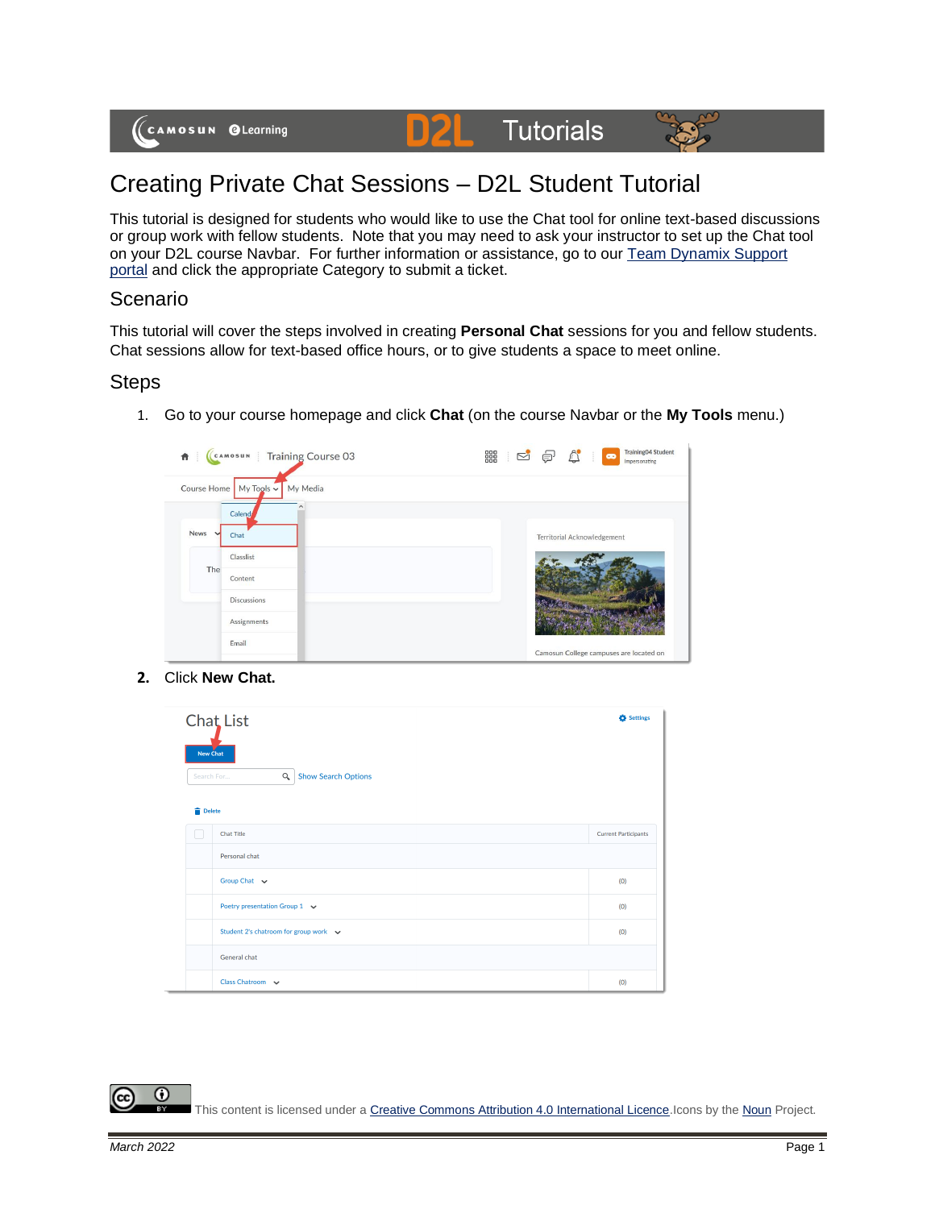#### **Tutorials D2L**



# Creating Private Chat Sessions – D2L Student Tutorial

This tutorial is designed for students who would like to use the Chat tool for online text-based discussions or group work with fellow students. Note that you may need to ask your instructor to set up the Chat tool on your D2L course Navbar. For further information or assistance, go to our [Team Dynamix Support](https://camosun.teamdynamix.com/TDClient/67/Portal/Requests/ServiceCatalog?CategoryID=524)  [portal](https://camosun.teamdynamix.com/TDClient/67/Portal/Requests/ServiceCatalog?CategoryID=524) and click the appropriate Category to submit a ticket.

#### Scenario

This tutorial will cover the steps involved in creating **Personal Chat** sessions for you and fellow students. Chat sessions allow for text-based office hours, or to give students a space to meet online.

### **Steps**

1. Go to your course homepage and click **Chat** (on the course Navbar or the **My Tools** menu.)



**2.** Click **New Chat.**

| New Chat<br>Delete | Chat List<br>Q<br><b>Show Search Options</b><br>Search For | Settings                    |
|--------------------|------------------------------------------------------------|-----------------------------|
|                    | <b>Chat Title</b>                                          | <b>Current Participants</b> |
|                    | Personal chat                                              |                             |
|                    | Group Chat v                                               | (0)                         |
|                    | Poetry presentation Group 1 $\sim$                         | (0)                         |
|                    | Student 2's chatroom for group work $\sim$                 | (0)                         |
|                    | General chat                                               |                             |
|                    | Class Chatroom v                                           | (0)                         |

This content is licensed under [a Creative Commons Attribution 4.0 International Licence.I](https://creativecommons.org/licenses/by/4.0/)cons by th[e Noun](https://creativecommons.org/website-icons/) Project.

 $\odot$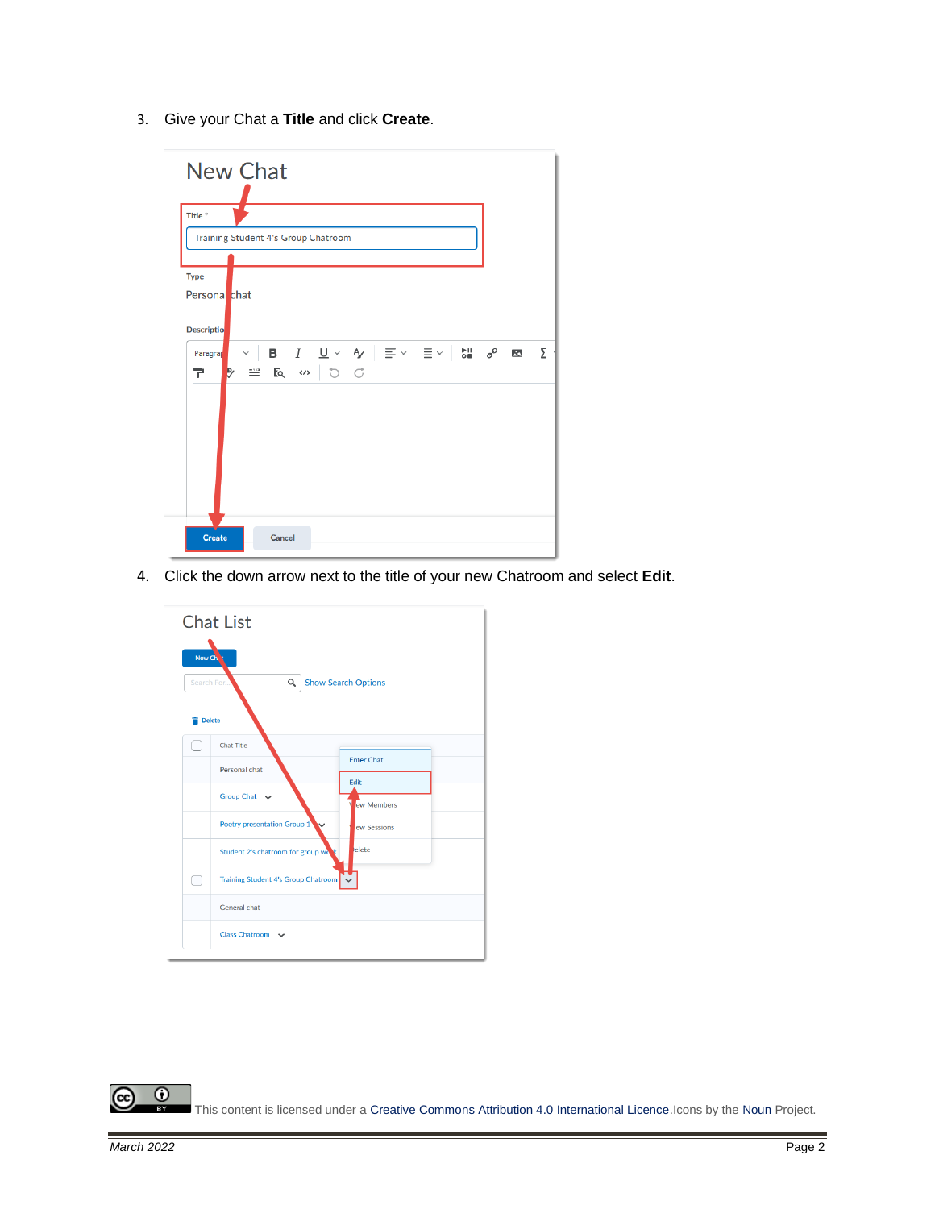3. Give your Chat a **Title** and click **Create**.



4. Click the down arrow next to the title of your new Chatroom and select **Edit**.



 $\odot$ (cc This content is licensed under [a Creative Commons Attribution 4.0 International Licence.I](https://creativecommons.org/licenses/by/4.0/)cons by th[e Noun](https://creativecommons.org/website-icons/) Project. B.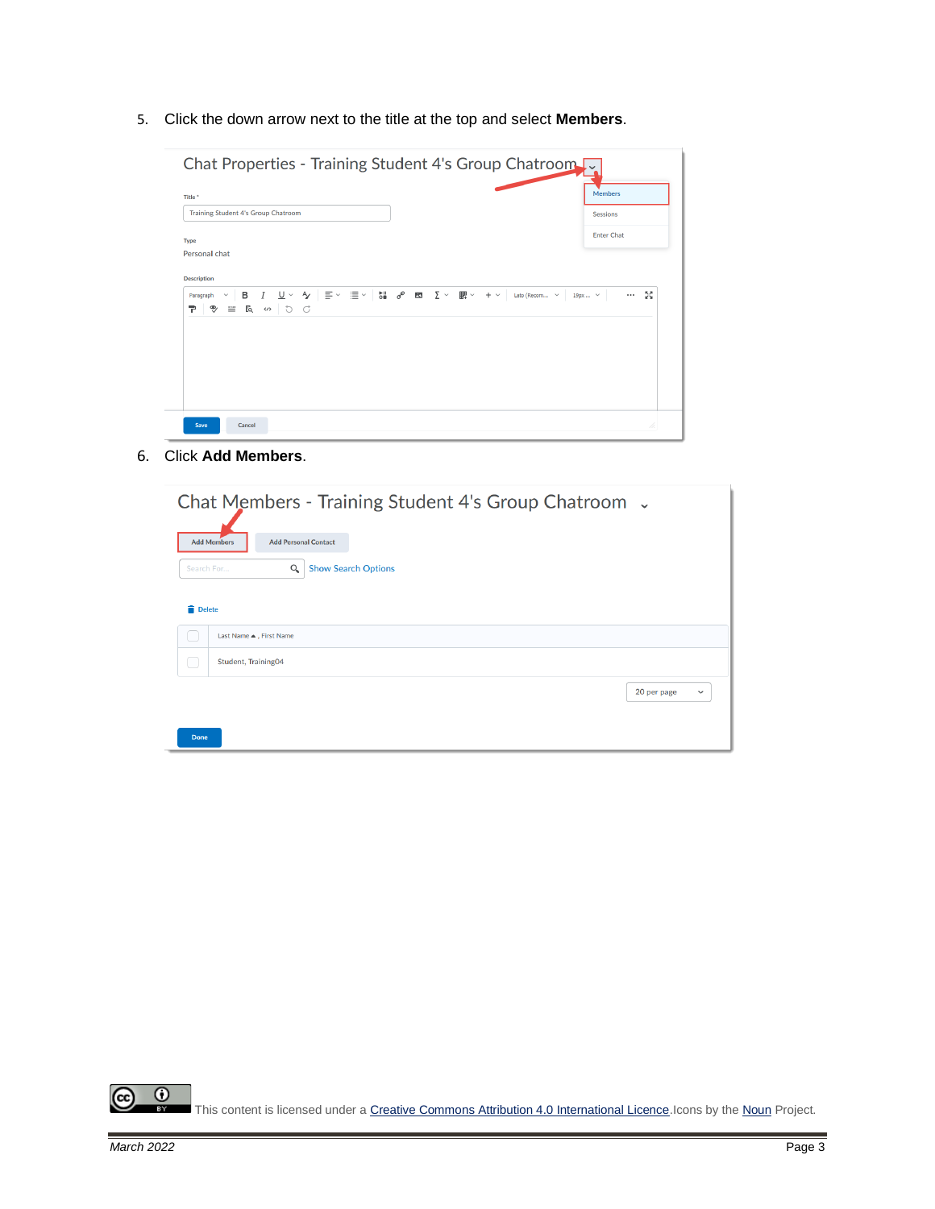5. Click the down arrow next to the title at the top and select **Members**.

| Title <sup>*</sup>                       | <b>Members</b>                                                                                                                                                                                             |
|------------------------------------------|------------------------------------------------------------------------------------------------------------------------------------------------------------------------------------------------------------|
| Training Student 4's Group Chatroom      | <b>Sessions</b>                                                                                                                                                                                            |
| Type                                     | <b>Enter Chat</b>                                                                                                                                                                                          |
| Personal chat                            |                                                                                                                                                                                                            |
|                                          |                                                                                                                                                                                                            |
| <b>Description</b>                       |                                                                                                                                                                                                            |
| $\checkmark$<br>Paragraph                | <b>B</b> $I \cup \vee \vee \vee$ $\equiv \vee \equiv \vee$ <b>bi</b> $\mathcal{S}$ <b>ED</b> $\sum \vee \equiv \mathbb{R} \vee \cdots \vee \equiv \text{Lato}$ (Recom $\vee$ 19px $\vee$<br>5ð<br>$\cdots$ |
| $\equiv$ $R \cdot \cup \cup C$<br>୭<br>∍ |                                                                                                                                                                                                            |
|                                          |                                                                                                                                                                                                            |
|                                          |                                                                                                                                                                                                            |
|                                          |                                                                                                                                                                                                            |

6. Click **Add Members**.

|                         |                             | Chat Members - Training Student 4's Group Chatroom . |              |
|-------------------------|-----------------------------|------------------------------------------------------|--------------|
| <b>Add Members</b>      | <b>Add Personal Contact</b> |                                                      |              |
| Search For              | Q                           | <b>Show Search Options</b>                           |              |
| <b>Delete</b>           |                             |                                                      |              |
| Last Name ▲, First Name |                             |                                                      |              |
| Student, Training04     |                             |                                                      |              |
|                         |                             | 20 per page                                          | $\checkmark$ |
| <b>Done</b>             |                             |                                                      |              |

 $\odot$  $\circled{c}$ This content is licensed under [a Creative Commons Attribution 4.0 International Licence.I](https://creativecommons.org/licenses/by/4.0/)cons by th[e Noun](https://creativecommons.org/website-icons/) Project.  $\frac{1}{\sqrt{2}}$